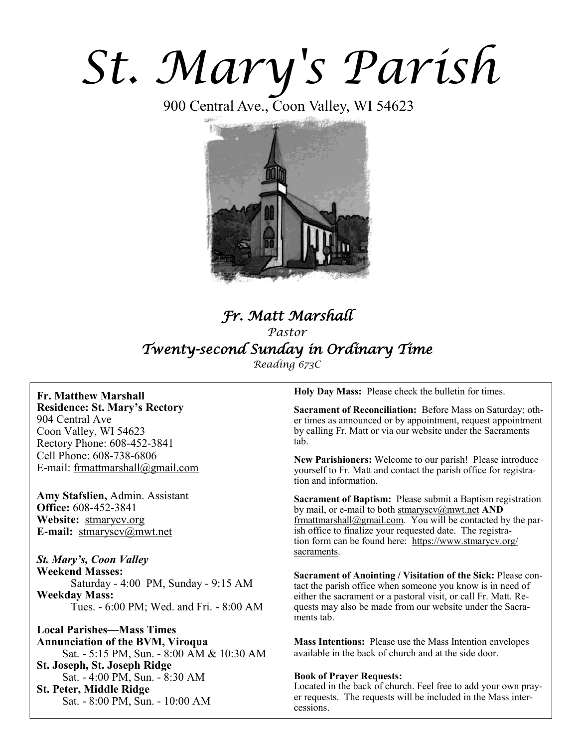# *St. Mary's Parish*

900 Central Ave., Coon Valley, WI 54623



# *Fr. Matt Marshall Pastor Twenty-second Sunday in Ordinary Time*

*Reading 673C*

**Fr. Matthew Marshall Residence: St. Mary's Rectory** 904 Central Ave Coon Valley, WI 54623 Rectory Phone: 608-452-3841 Cell Phone: 608-738-6806 E-mail: [frmattmarshall@gmail.com](mailto:frmattmarshall@gmail.com)

**Amy Stafslien,** Admin. Assistant **Office:** 608-452-3841 **Website:** <stmarycv.org> **E-mail:** [stmaryscv@mwt.net](mailto:stmaryscv@mwt.net)

*St. Mary's, Coon Valley*  **Weekend Masses:** Saturday - 4:00 PM, Sunday - 9:15 AM **Weekday Mass:**  Tues. - 6:00 PM; Wed. and Fri. - 8:00 AM

**Local Parishes—Mass Times Annunciation of the BVM, Viroqua** Sat. - 5:15 PM, Sun. - 8:00 AM & 10:30 AM **St. Joseph, St. Joseph Ridge** Sat. - 4:00 PM, Sun. - 8:30 AM **St. Peter, Middle Ridge** Sat. - 8:00 PM, Sun. - 10:00 AM

**Holy Day Mass:** Please check the bulletin for times.

**Sacrament of Reconciliation:** Before Mass on Saturday; other times as announced or by appointment, request appointment by calling Fr. Matt or via our website under the Sacraments tab.

**New Parishioners:** Welcome to our parish! Please introduce yourself to Fr. Matt and contact the parish office for registration and information.

**Sacrament of Baptism:** Please submit a Baptism registration by mail, or e-mail to both [stmaryscv@mwt.net](mailto:stmaryscv@mwt.net) **AND** [frmattmarshall@gmail.com](mailto:frmattmarshall@gmail.com)*.* You will be contacted by the parish office to finalize your requested date. The registration form can be found here: [https://www.stmarycv.org/](https://www.stmarycv.org/sacraments) [sacraments.](https://www.stmarycv.org/sacraments) 

**Sacrament of Anointing / Visitation of the Sick:** Please contact the parish office when someone you know is in need of either the sacrament or a pastoral visit, or call Fr. Matt. Requests may also be made from our website under the Sacraments tab.

**Mass Intentions:** Please use the Mass Intention envelopes available in the back of church and at the side door.

### **Book of Prayer Requests:**

Located in the back of church. Feel free to add your own prayer requests. The requests will be included in the Mass intercessions.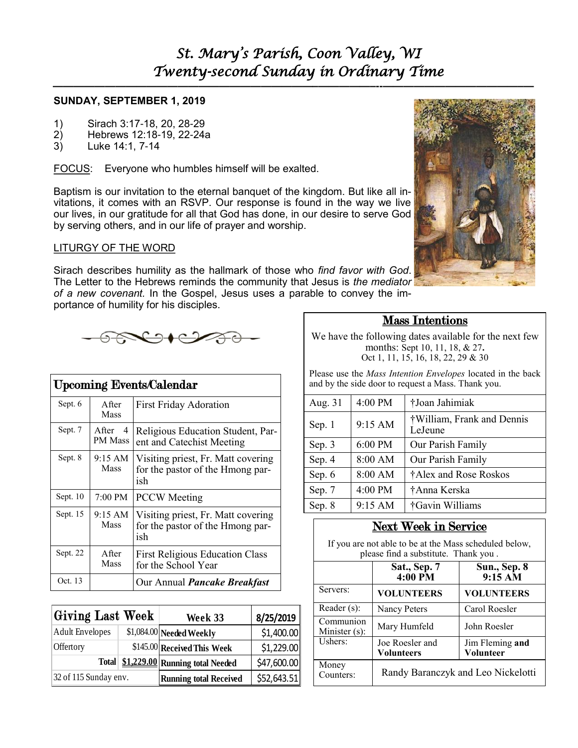**—————————————————————————–—————–--—————————————–—**

### **SUNDAY, SEPTEMBER 1, 2019**

- 1) Sirach 3:17-18, 20, 28-29
- 2) Hebrews 12:18-19, 22-24a
- 3) Luke 14:1, 7-14

FOCUS: Everyone who humbles himself will be exalted.

Baptism is our invitation to the eternal banquet of the kingdom. But like all invitations, it comes with an RSVP. Our response is found in the way we live our lives, in our gratitude for all that God has done, in our desire to serve God by serving others, and in our life of prayer and worship.

### LITURGY OF THE WORD

Sirach describes humility as the hallmark of those who *find favor with God*. The Letter to the Hebrews reminds the community that Jesus is *the mediator of a new covenant.* In the Gospel, Jesus uses a parable to convey the importance of humility for his disciples.



| <b>Upcoming Events/Calendar</b> |                                     |                                                                               |  |  |
|---------------------------------|-------------------------------------|-------------------------------------------------------------------------------|--|--|
| Sept. 6                         | A fter<br>Mass                      | <b>First Friday Adoration</b>                                                 |  |  |
| Sept. 7                         | A fter<br>$\overline{4}$<br>PM Mass | Religious Education Student, Par-<br>ent and Catechist Meeting                |  |  |
| Sept. 8                         | 9:15 AM<br><b>Mass</b>              | Visiting priest, Fr. Matt covering<br>for the pastor of the Hmong par-<br>ish |  |  |
| Sept. $10$                      | 7:00 PM                             | <b>PCCW</b> Meeting                                                           |  |  |
| Sept. $15$                      | 9:15 AM<br>Mass                     | Visiting priest, Fr. Matt covering<br>for the pastor of the Hmong par-<br>ish |  |  |
| Sept. 22                        | After<br>Mass                       | <b>First Religious Education Class</b><br>for the School Year                 |  |  |
| Oct. 13                         |                                     | Our Annual <i>Pancake Breakfast</i>                                           |  |  |

| Giving Last Week      |  | Week 33                         | 8/25/2019   |
|-----------------------|--|---------------------------------|-------------|
| Adult Envelopes       |  | \$1,084.00 Needed Weekly        | \$1,400.00  |
| Offertory             |  | \$145.00 Received This Week     | \$1,229.00  |
| <b>Total</b>          |  | \$1,229,00 Running total Needed | \$47,600.00 |
| 32 of 115 Sunday env. |  | <b>Running total Received</b>   | \$52,643.51 |

### Mass Intentions

We have the following dates available for the next few months: Sept 10, 11, 18, & 27**.**  Oct 1, 11, 15, 16, 18, 22, 29 & 30

Please use the *Mass Intention Envelopes* located in the back and by the side door to request a Mass. Thank you.

| Aug. 31 | 4:00 PM | †Joan Jahimiak                        |
|---------|---------|---------------------------------------|
| Sep. 1  | 9:15 AM | †William, Frank and Dennis<br>LeJeune |
| Sep. 3  | 6:00 PM | Our Parish Family                     |
| Sep. 4  | 8:00 AM | Our Parish Family                     |
| Sep. 6  | 8:00 AM | †Alex and Rose Roskos                 |
| Sep. 7  | 4:00 PM | †Anna Kerska                          |
| Sep. 8  | 9:15 AM | †Gavin Williams                       |

# Next Week in Service

If you are not able to be at the Mass scheduled below, please find a substitute. Thank you .

|                            | Sat., Sep. 7<br>$4:00 P\overline{M}$ | Sun., Sep. 8<br>$9:15 \overline{\text{AM}}$ |  |  |
|----------------------------|--------------------------------------|---------------------------------------------|--|--|
| Servers:                   | <b>VOLUNTEERS</b>                    | <b>VOLUNTEERS</b>                           |  |  |
| Reader $(s)$ :             | Nancy Peters                         | Carol Roesler                               |  |  |
| Communion<br>Minister (s): | Mary Humfeld                         | John Roesler                                |  |  |
| Ushers:                    | Joe Roesler and<br><b>Volunteers</b> | Jim Fleming and<br>Volunteer                |  |  |
| Money<br>Counters:         | Randy Baranczyk and Leo Nickelotti   |                                             |  |  |

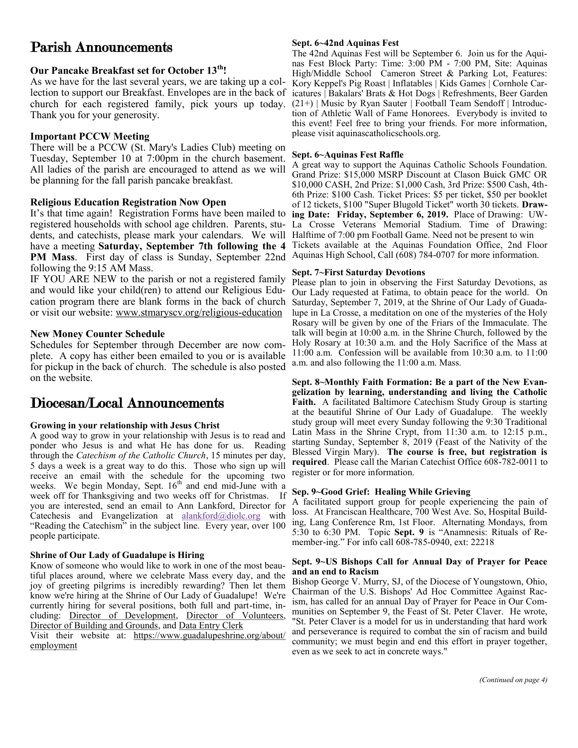# Parish Announcements

### **Our Pancake Breakfast set for October 13th!**

As we have for the last several years, we are taking up a collection to support our Breakfast. Envelopes are in the back of church for each registered family, pick yours up today. Thank you for your generosity.

### **Important PCCW Meeting**

There will be a PCCW (St. Mary's Ladies Club) meeting on Tuesday, September 10 at 7:00pm in the church basement. All ladies of the parish are encouraged to attend as we will be planning for the fall parish pancake breakfast.

### **Religious Education Registration Now Open**

It's that time again! Registration Forms have been mailed to registered households with school age children. Parents, students, and catechists, please mark your calendars. We will have a meeting **Saturday, September 7th following the 4**  PM Mass. First day of class is Sunday, September 22nd Aquinas High School, Call (608) 784-0707 for more information. following the 9:15 AM Mass.

IF YOU ARE NEW to the parish or not a registered family and would like your child(ren) to attend our Religious Education program there are blank forms in the back of church or visit our website: [www.stmaryscv.org/religious-education](http://www.stmaryscv.org/religious-education)

### **New Money Counter Schedule**

Schedules for September through December are now complete. A copy has either been emailed to you or is available for pickup in the back of church. The schedule is also posted on the website.

# Diocesan/Local Announcements

### **Growing in your relationship with Jesus Christ**

A good way to grow in your relationship with Jesus is to read and ponder who Jesus is and what He has done for us. Reading through the *Catechism of the Catholic Church*, 15 minutes per day, 5 days a week is a great way to do this. Those who sign up will receive an email with the schedule for the upcoming two weeks. We begin Monday, Sept.  $16<sup>th</sup>$  and end mid-June with a week off for Thanksgiving and two weeks off for Christmas. If you are interested, send an email to Ann Lankford, Director for Catechesis and Evangelization at [alankford@diolc.org](mailto:alankford@diolc.org) with "Reading the Catechism" in the subject line. Every year, over 100 people participate.

### **Shrine of Our Lady of Guadalupe is Hiring**

Know of someone who would like to work in one of the most beautiful places around, where we celebrate Mass every day, and the joy of greeting pilgrims is incredibly rewarding? Then let them know we're hiring at the Shrine of Our Lady of Guadalupe! We're currently hiring for several positions, both full and part-time, including: [Director of Development,](https://www.guadalupeshrine.org/wp-content/uploads/2019/06/DIRECTOR-OF-DEVELOPMENT_FINAL.pdf) [Director of Volunteers,](https://www.guadalupeshrine.org/wp-content/uploads/2019/07/Position-Description-Director-of-Volunteers.pdf) [Director of Building and Grounds,](https://www.guadalupeshrine.org/wp-content/uploads/2019/07/Position-Description-Director-of-Buildings-and-Grounds-2019-Final.pdf) and [Data Entry Clerk](https://www.guadalupeshrine.org/wp-content/uploads/2019/07/Job-Description-Data-Entry-Clerk.pdf)

Visit their website at: [https://www.guadalupeshrine.org/about/](https://www.guadalupeshrine.org/about/employment) [employment](https://www.guadalupeshrine.org/about/employment)

### **Sept. 6~42nd Aquinas Fest**

The 42nd Aquinas Fest will be September 6. Join us for the Aquinas Fest Block Party: Time: 3:00 PM - 7:00 PM, Site: Aquinas High/Middle School Cameron Street & Parking Lot, Features: Kory Keppel's Pig Roast | Inflatables | Kids Games | Cornhole Caricatures | Bakalars' Brats & Hot Dogs | Refreshments, Beer Garden (21+) | Music by Ryan Sauter | Football Team Sendoff | Introduction of Athletic Wall of Fame Honorees. Everybody is invited to this event! Feel free to bring your friends. For more information, please visit aquinascatholicschools.org.

### **Sept. 6~Aquinas Fest Raffle**

A great way to support the Aquinas Catholic Schools Foundation. Grand Prize: \$15,000 MSRP Discount at Clason Buick GMC OR \$10,000 CASH, 2nd Prize: \$1,000 Cash, 3rd Prize: \$500 Cash, 4th-6th Prize: \$100 Cash. Ticket Prices: \$5 per ticket, \$50 per booklet of 12 tickets, \$100 "Super Blugold Ticket" worth 30 tickets. **Drawing Date: Friday, September 6, 2019.** Place of Drawing: UW-La Crosse Veterans Memorial Stadium. Time of Drawing: Halftime of 7:00 pm Football Game. Need not be present to win Tickets available at the Aquinas Foundation Office, 2nd Floor

### **Sept. 7~First Saturday Devotions**

Please plan to join in observing the First Saturday Devotions, as Our Lady requested at Fatima, to obtain peace for the world. On Saturday, September 7, 2019, at the Shrine of Our Lady of Guadalupe in La Crosse, a meditation on one of the mysteries of the Holy Rosary will be given by one of the Friars of the Immaculate. The talk will begin at 10:00 a.m. in the Shrine Church, followed by the Holy Rosary at 10:30 a.m. and the Holy Sacrifice of the Mass at 11:00 a.m. Confession will be available from 10:30 a.m. to 11:00 a.m. and also following the 11:00 a.m. Mass.

**Sept. 8~Monthly Faith Formation: Be a part of the New Evangelization by learning, understanding and living the Catholic Faith.** A facilitated Baltimore Catechism Study Group is starting at the beautiful Shrine of Our Lady of Guadalupe. The weekly study group will meet every Sunday following the 9:30 Traditional Latin Mass in the Shrine Crypt, from 11:30 a.m. to 12:15 p.m., starting Sunday, September 8, 2019 (Feast of the Nativity of the Blessed Virgin Mary). **The course is free, but registration is required**. Please call the Marian Catechist Office 608-782-0011 to register or for more information.

### **Sep. 9~Good Grief: Healing While Grieving**

A facilitated support group for people experiencing the pain of loss. At Franciscan Healthcare, 700 West Ave. So, Hospital Building, Lang Conference Rm, 1st Floor. Alternating Mondays, from 5:30 to 6:30 PM. Topic **Sept. 9** is "Anamnesis: Rituals of Remember-ing." For info call 608-785-0940, ext: 22218

### **Sept. 9~US Bishops Call for Annual Day of Prayer for Peace and an end to Racism**

Bishop George V. Murry, SJ, of the Diocese of Youngstown, Ohio, Chairman of the U.S. Bishops' Ad Hoc Committee Against Racism, has called for an annual Day of Prayer for Peace in Our Communities on September 9, the Feast of St. Peter Claver. He wrote, "St. Peter Claver is a model for us in understanding that hard work and perseverance is required to combat the sin of racism and build community; we must begin and end this effort in prayer together, even as we seek to act in concrete ways."